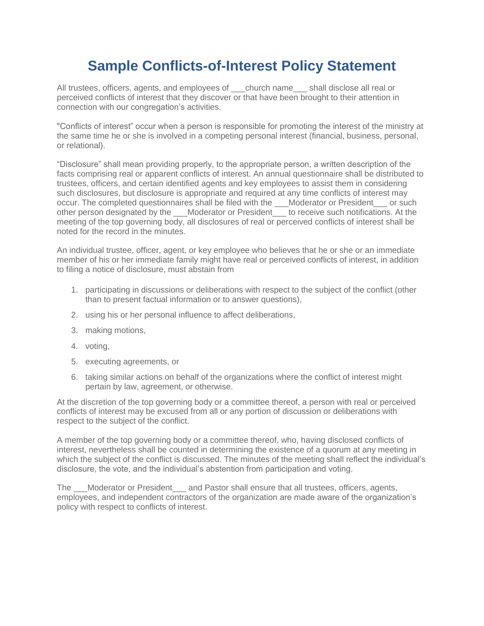## **Sample Conflicts-of-Interest Policy Statement**

All trustees, officers, agents, and employees of \_\_\_church name\_\_\_ shall disclose all real or perceived conflicts of interest that they discover or that have been brought to their attention in connection with our congregation's activities.

"Conflicts of interest" occur when a person is responsible for promoting the interest of the ministry at the same time he or she is involved in a competing personal interest (financial, business, personal, or relational).

"Disclosure" shall mean providing properly, to the appropriate person, a written description of the facts comprising real or apparent conflicts of interest. An annual questionnaire shall be distributed to trustees, officers, and certain identified agents and key employees to assist them in considering such disclosures, but disclosure is appropriate and required at any time conflicts of interest may occur. The completed questionnaires shall be filed with the \_\_\_Moderator or President \_\_\_ or such other person designated by the \_\_\_Moderator or President\_\_\_ to receive such notifications. At the meeting of the top governing body, all disclosures of real or perceived conflicts of interest shall be noted for the record in the minutes.

An individual trustee, officer, agent, or key employee who believes that he or she or an immediate member of his or her immediate family might have real or perceived conflicts of interest, in addition to filing a notice of disclosure, must abstain from

- 1. participating in discussions or deliberations with respect to the subject of the conflict (other than to present factual information or to answer questions),
- 2. using his or her personal influence to affect deliberations,
- 3. making motions,
- 4. voting,
- 5. executing agreements, or
- 6. taking similar actions on behalf of the organizations where the conflict of interest might pertain by law, agreement, or otherwise.

At the discretion of the top governing body or a committee thereof, a person with real or perceived conflicts of interest may be excused from all or any portion of discussion or deliberations with respect to the subject of the conflict.

A member of the top governing body or a committee thereof, who, having disclosed conflicts of interest, nevertheless shall be counted in determining the existence of a quorum at any meeting in which the subject of the conflict is discussed. The minutes of the meeting shall reflect the individual's disclosure, the vote, and the individual's abstention from participation and voting.

The Moderator or President and Pastor shall ensure that all trustees, officers, agents, employees, and independent contractors of the organization are made aware of the organization's policy with respect to conflicts of interest.